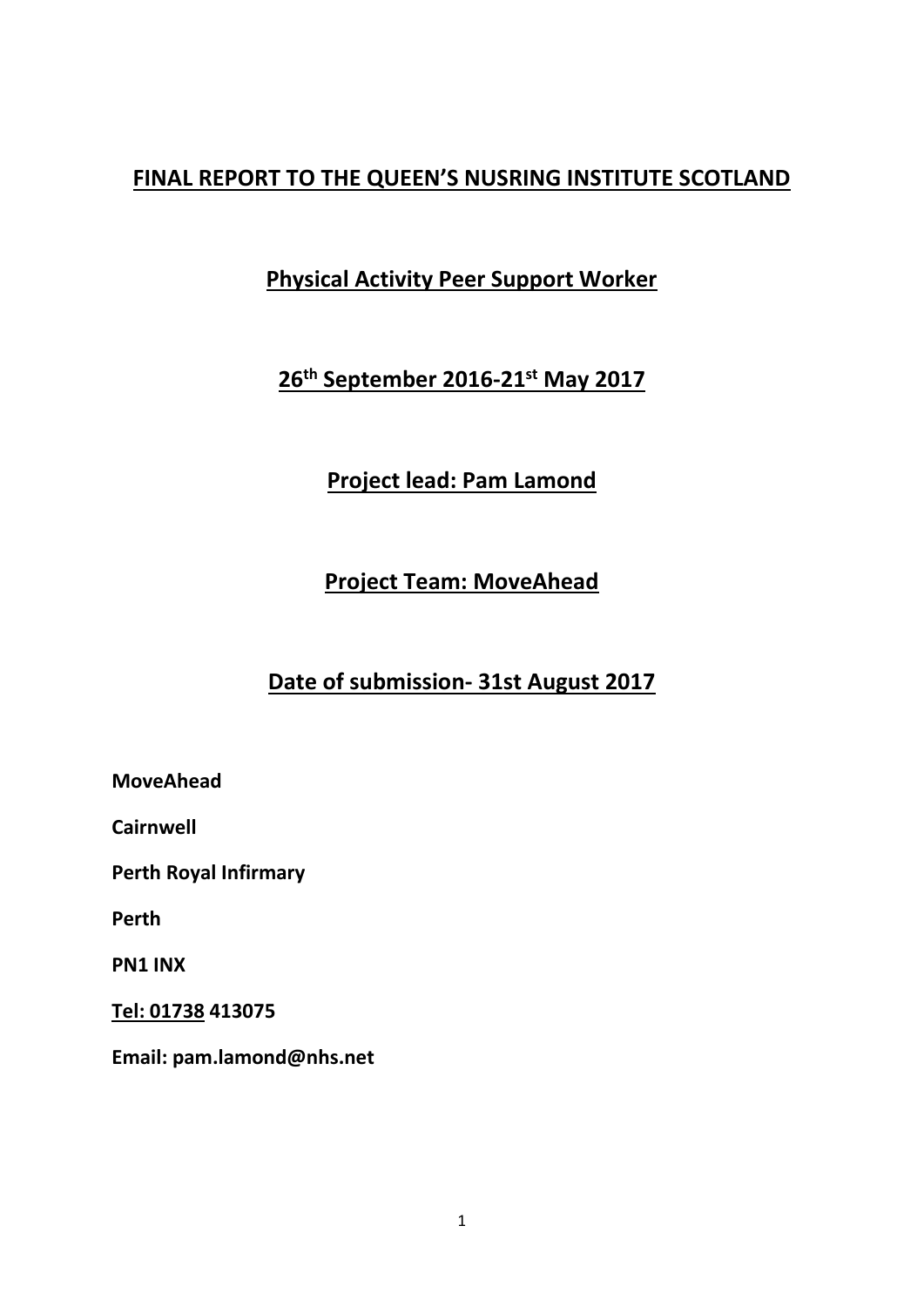## **FINAL REPORT TO THE QUEEN'S NUSRING INSTITUTE SCOTLAND**

# **Physical Activity Peer Support Worker**

# **26th September 2016-21st May 2017**

# **Project lead: Pam Lamond**

# **Project Team: MoveAhead**

# **Date of submission- 31st August 2017**

**MoveAhead**

**Cairnwell**

**Perth Royal Infirmary**

**Perth**

**PN1 INX**

**[Tel: 01738](tel:01738) 413075**

**Email: pam.lamond@nhs.net**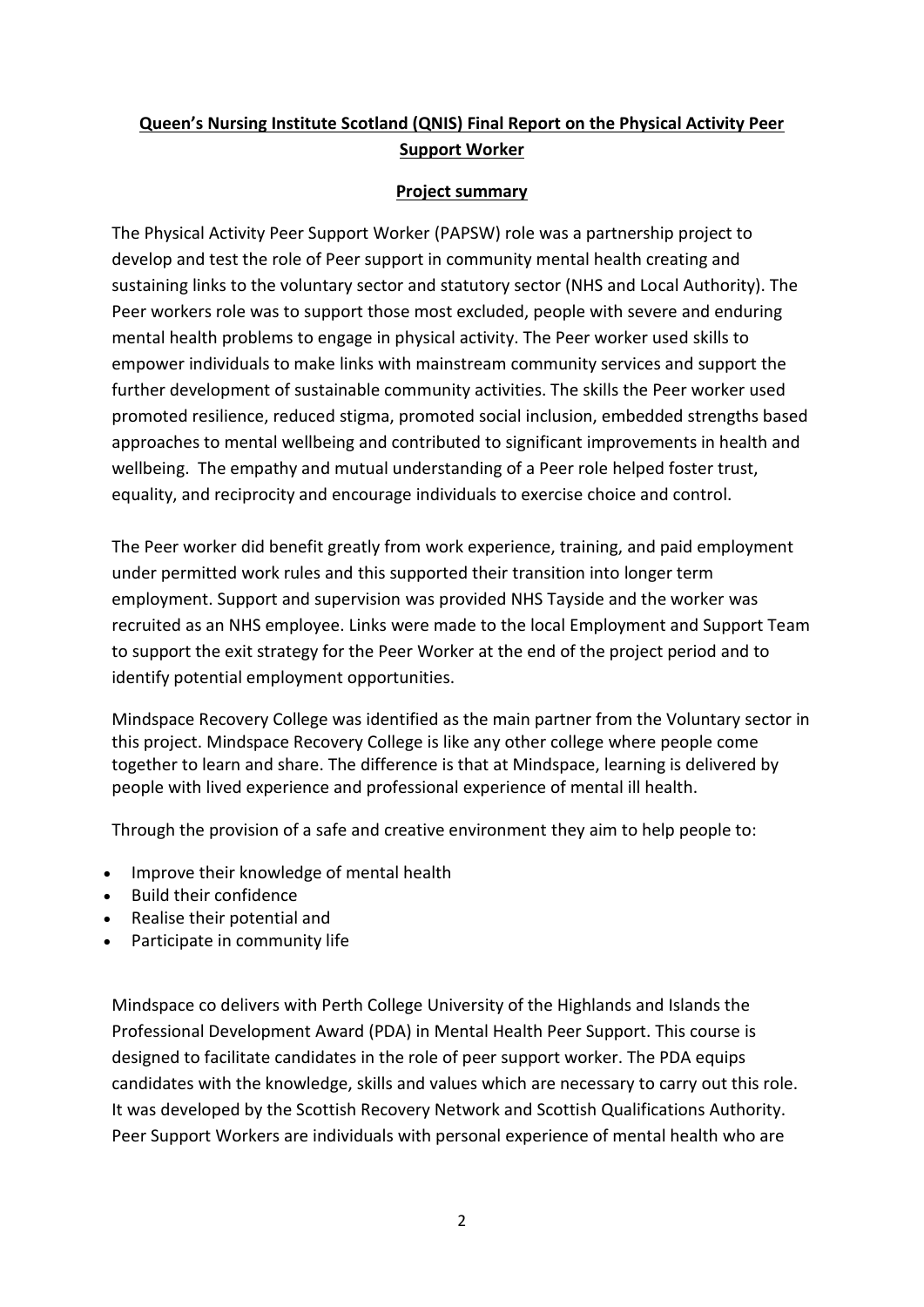## **Queen's Nursing Institute Scotland (QNIS) Final Report on the Physical Activity Peer Support Worker**

### **Project summary**

The Physical Activity Peer Support Worker (PAPSW) role was a partnership project to develop and test the role of Peer support in community mental health creating and sustaining links to the voluntary sector and statutory sector (NHS and Local Authority). The Peer workers role was to support those most excluded, people with severe and enduring mental health problems to engage in physical activity. The Peer worker used skills to empower individuals to make links with mainstream community services and support the further development of sustainable community activities. The skills the Peer worker used promoted resilience, reduced stigma, promoted social inclusion, embedded strengths based approaches to mental wellbeing and contributed to significant improvements in health and wellbeing. The empathy and mutual understanding of a Peer role helped foster trust, equality, and reciprocity and encourage individuals to exercise choice and control.

The Peer worker did benefit greatly from work experience, training, and paid employment under permitted work rules and this supported their transition into longer term employment. Support and supervision was provided NHS Tayside and the worker was recruited as an NHS employee. Links were made to the local Employment and Support Team to support the exit strategy for the Peer Worker at the end of the project period and to identify potential employment opportunities.

Mindspace Recovery College was identified as the main partner from the Voluntary sector in this project. Mindspace Recovery College is like any other college where people come together to learn and share. The difference is that at Mindspace, learning is delivered by people with lived experience and professional experience of mental ill health.

Through the provision of a safe and creative environment they aim to help people to:

- Improve their knowledge of mental health
- Build their confidence
- Realise their potential and
- Participate in community life

Mindspace co delivers with Perth College University of the Highlands and Islands the Professional Development Award (PDA) in Mental Health Peer Support. This course is designed to facilitate candidates in the role of peer support worker. The PDA equips candidates with the knowledge, skills and values which are necessary to carry out this role. It was developed by the Scottish Recovery Network and Scottish Qualifications Authority. Peer Support Workers are individuals with personal experience of mental health who are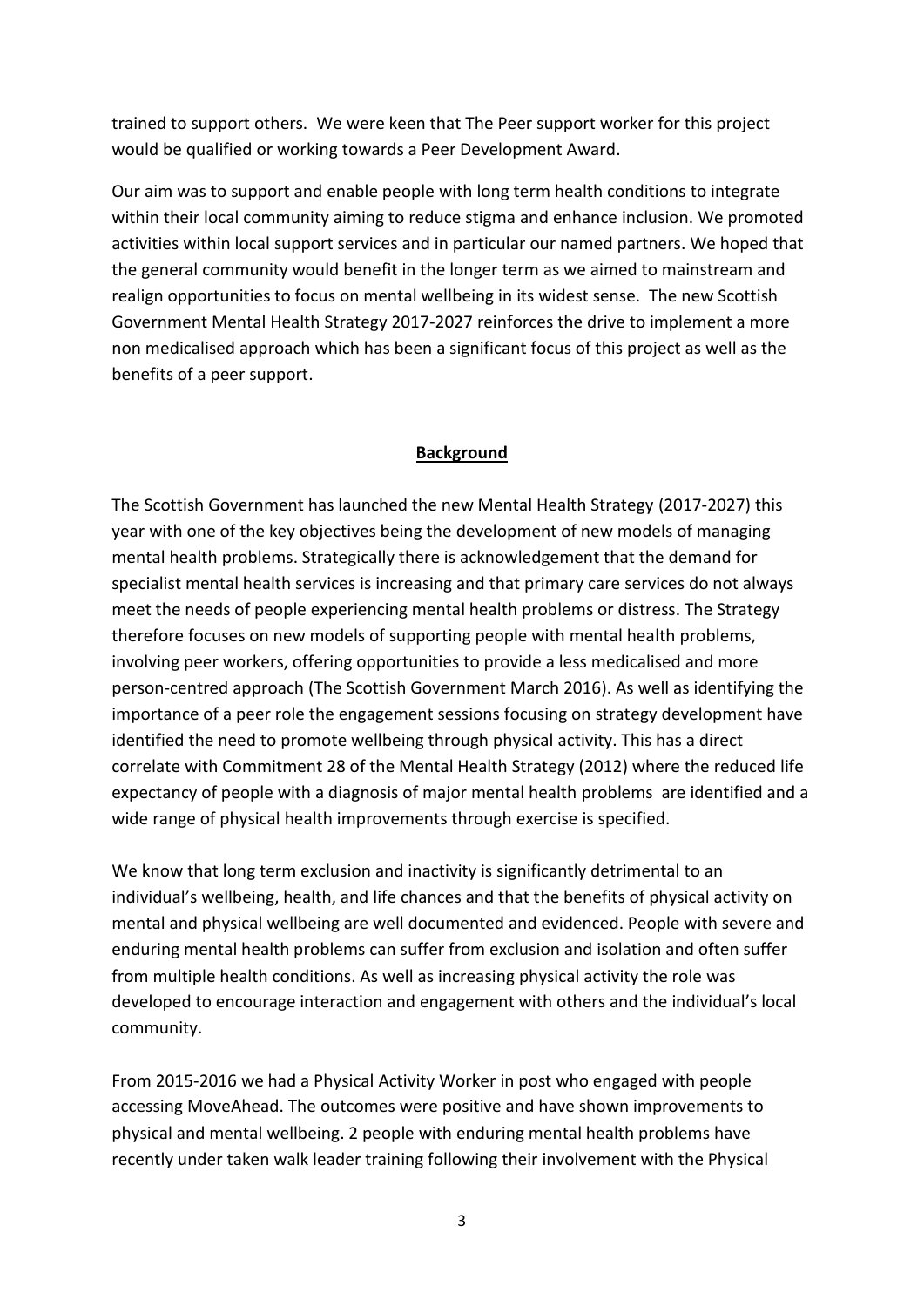trained to support others. We were keen that The Peer support worker for this project would be qualified or working towards a Peer Development Award.

Our aim was to support and enable people with long term health conditions to integrate within their local community aiming to reduce stigma and enhance inclusion. We promoted activities within local support services and in particular our named partners. We hoped that the general community would benefit in the longer term as we aimed to mainstream and realign opportunities to focus on mental wellbeing in its widest sense. The new Scottish Government Mental Health Strategy 2017-2027 reinforces the drive to implement a more non medicalised approach which has been a significant focus of this project as well as the benefits of a peer support.

#### **Background**

The Scottish Government has launched the new Mental Health Strategy (2017-2027) this year with one of the key objectives being the development of new models of managing mental health problems. Strategically there is acknowledgement that the demand for specialist mental health services is increasing and that primary care services do not always meet the needs of people experiencing mental health problems or distress. The Strategy therefore focuses on new models of supporting people with mental health problems, involving peer workers, offering opportunities to provide a less medicalised and more person-centred approach (The Scottish Government March 2016). As well as identifying the importance of a peer role the engagement sessions focusing on strategy development have identified the need to promote wellbeing through physical activity. This has a direct correlate with Commitment 28 of the Mental Health Strategy (2012) where the reduced life expectancy of people with a diagnosis of major mental health problems are identified and a wide range of physical health improvements through exercise is specified.

We know that long term exclusion and inactivity is significantly detrimental to an individual's wellbeing, health, and life chances and that the benefits of physical activity on mental and physical wellbeing are well documented and evidenced. People with severe and enduring mental health problems can suffer from exclusion and isolation and often suffer from multiple health conditions. As well as increasing physical activity the role was developed to encourage interaction and engagement with others and the individual's local community.

From 2015-2016 we had a Physical Activity Worker in post who engaged with people accessing MoveAhead. The outcomes were positive and have shown improvements to physical and mental wellbeing. 2 people with enduring mental health problems have recently under taken walk leader training following their involvement with the Physical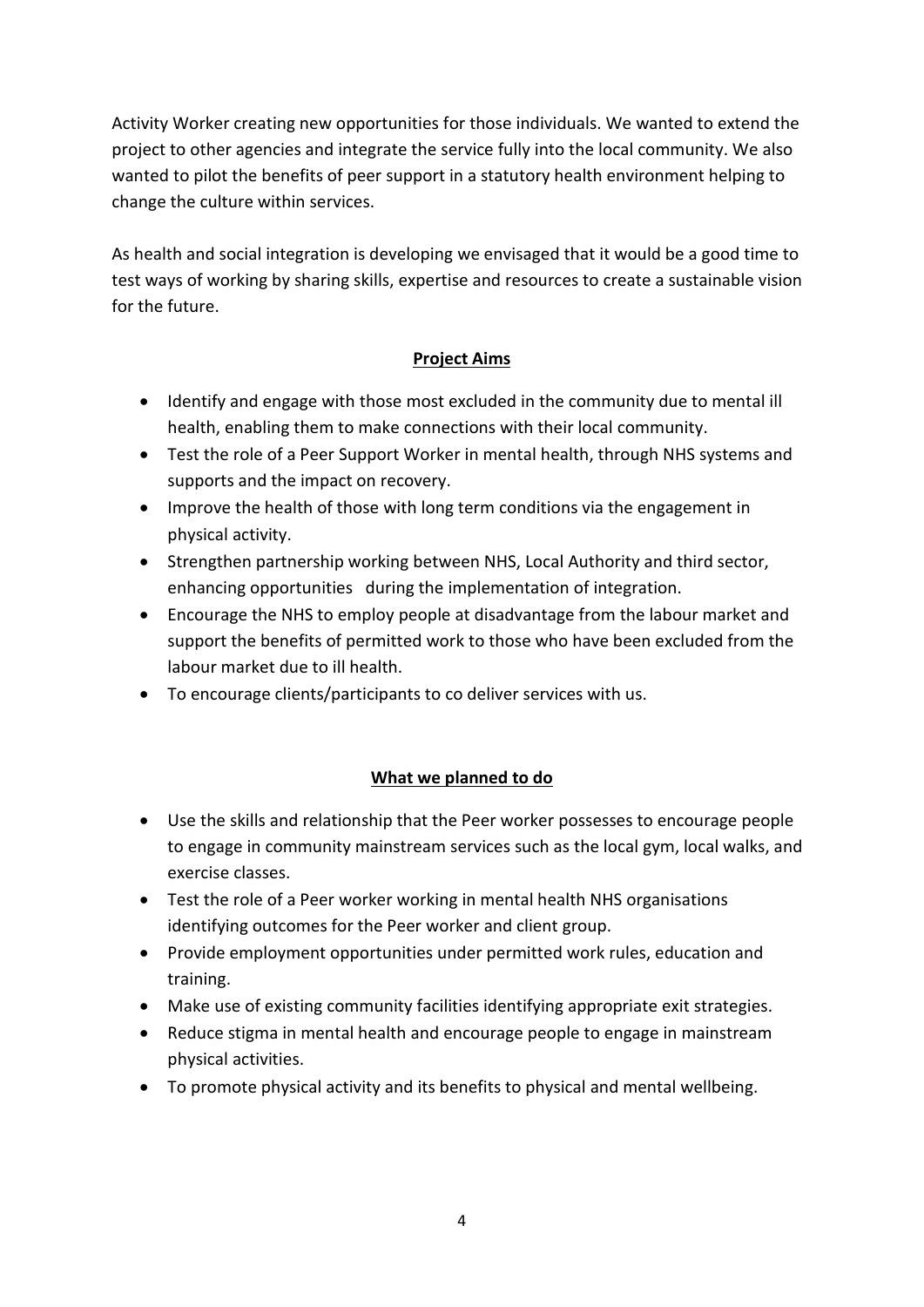Activity Worker creating new opportunities for those individuals. We wanted to extend the project to other agencies and integrate the service fully into the local community. We also wanted to pilot the benefits of peer support in a statutory health environment helping to change the culture within services.

As health and social integration is developing we envisaged that it would be a good time to test ways of working by sharing skills, expertise and resources to create a sustainable vision for the future.

## **Project Aims**

- Identify and engage with those most excluded in the community due to mental ill health, enabling them to make connections with their local community.
- Test the role of a Peer Support Worker in mental health, through NHS systems and supports and the impact on recovery.
- Improve the health of those with long term conditions via the engagement in physical activity.
- Strengthen partnership working between NHS, Local Authority and third sector, enhancing opportunities during the implementation of integration.
- Encourage the NHS to employ people at disadvantage from the labour market and support the benefits of permitted work to those who have been excluded from the labour market due to ill health.
- To encourage clients/participants to co deliver services with us.

## **What we planned to do**

- Use the skills and relationship that the Peer worker possesses to encourage people to engage in community mainstream services such as the local gym, local walks, and exercise classes.
- Test the role of a Peer worker working in mental health NHS organisations identifying outcomes for the Peer worker and client group.
- Provide employment opportunities under permitted work rules, education and training.
- Make use of existing community facilities identifying appropriate exit strategies.
- Reduce stigma in mental health and encourage people to engage in mainstream physical activities.
- To promote physical activity and its benefits to physical and mental wellbeing.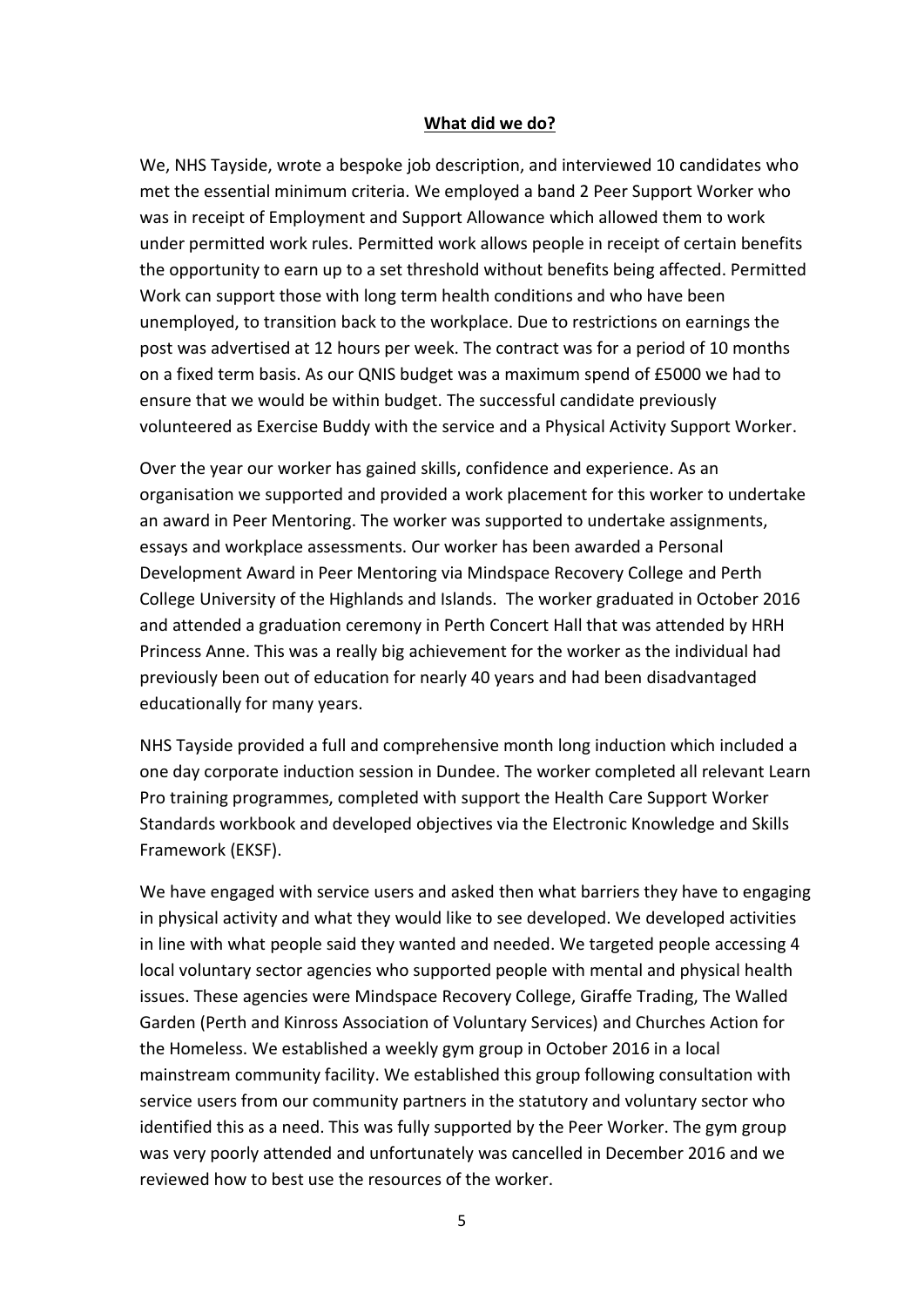#### **What did we do?**

We, NHS Tayside, wrote a bespoke job description, and interviewed 10 candidates who met the essential minimum criteria. We employed a band 2 Peer Support Worker who was in receipt of Employment and Support Allowance which allowed them to work under permitted work rules. Permitted work allows people in receipt of certain benefits the opportunity to earn up to a set threshold without benefits being affected. Permitted Work can support those with long term health conditions and who have been unemployed, to transition back to the workplace. Due to restrictions on earnings the post was advertised at 12 hours per week. The contract was for a period of 10 months on a fixed term basis. As our QNIS budget was a maximum spend of £5000 we had to ensure that we would be within budget. The successful candidate previously volunteered as Exercise Buddy with the service and a Physical Activity Support Worker.

Over the year our worker has gained skills, confidence and experience. As an organisation we supported and provided a work placement for this worker to undertake an award in Peer Mentoring. The worker was supported to undertake assignments, essays and workplace assessments. Our worker has been awarded a Personal Development Award in Peer Mentoring via Mindspace Recovery College and Perth College University of the Highlands and Islands. The worker graduated in October 2016 and attended a graduation ceremony in Perth Concert Hall that was attended by HRH Princess Anne. This was a really big achievement for the worker as the individual had previously been out of education for nearly 40 years and had been disadvantaged educationally for many years.

NHS Tayside provided a full and comprehensive month long induction which included a one day corporate induction session in Dundee. The worker completed all relevant Learn Pro training programmes, completed with support the Health Care Support Worker Standards workbook and developed objectives via the Electronic Knowledge and Skills Framework (EKSF).

We have engaged with service users and asked then what barriers they have to engaging in physical activity and what they would like to see developed. We developed activities in line with what people said they wanted and needed. We targeted people accessing 4 local voluntary sector agencies who supported people with mental and physical health issues. These agencies were Mindspace Recovery College, Giraffe Trading, The Walled Garden (Perth and Kinross Association of Voluntary Services) and Churches Action for the Homeless. We established a weekly gym group in October 2016 in a local mainstream community facility. We established this group following consultation with service users from our community partners in the statutory and voluntary sector who identified this as a need. This was fully supported by the Peer Worker. The gym group was very poorly attended and unfortunately was cancelled in December 2016 and we reviewed how to best use the resources of the worker.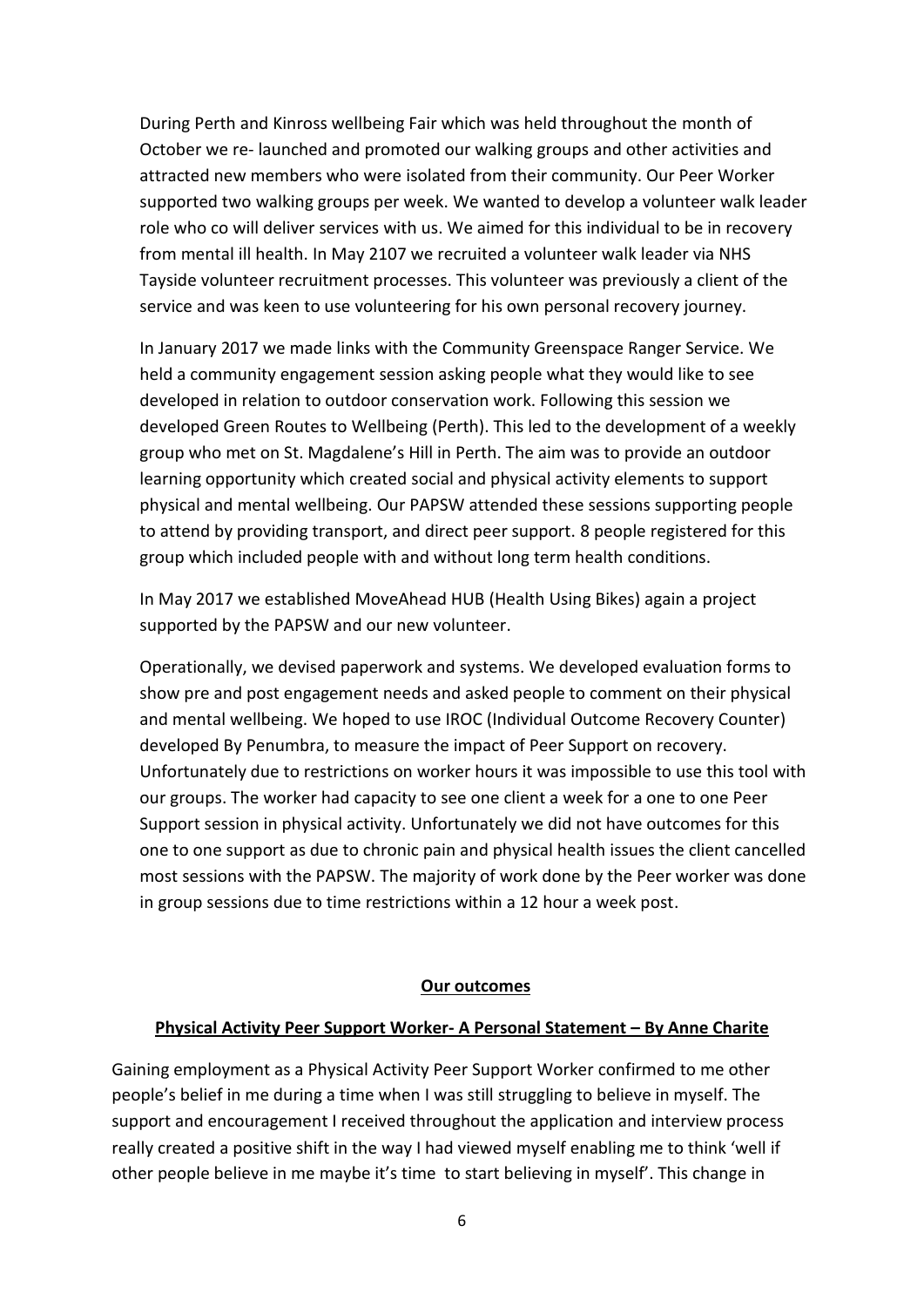During Perth and Kinross wellbeing Fair which was held throughout the month of October we re- launched and promoted our walking groups and other activities and attracted new members who were isolated from their community. Our Peer Worker supported two walking groups per week. We wanted to develop a volunteer walk leader role who co will deliver services with us. We aimed for this individual to be in recovery from mental ill health. In May 2107 we recruited a volunteer walk leader via NHS Tayside volunteer recruitment processes. This volunteer was previously a client of the service and was keen to use volunteering for his own personal recovery journey.

In January 2017 we made links with the Community Greenspace Ranger Service. We held a community engagement session asking people what they would like to see developed in relation to outdoor conservation work. Following this session we developed Green Routes to Wellbeing (Perth). This led to the development of a weekly group who met on St. Magdalene's Hill in Perth. The aim was to provide an outdoor learning opportunity which created social and physical activity elements to support physical and mental wellbeing. Our PAPSW attended these sessions supporting people to attend by providing transport, and direct peer support. 8 people registered for this group which included people with and without long term health conditions.

In May 2017 we established MoveAhead HUB (Health Using Bikes) again a project supported by the PAPSW and our new volunteer.

Operationally, we devised paperwork and systems. We developed evaluation forms to show pre and post engagement needs and asked people to comment on their physical and mental wellbeing. We hoped to use IROC (Individual Outcome Recovery Counter) developed By Penumbra, to measure the impact of Peer Support on recovery. Unfortunately due to restrictions on worker hours it was impossible to use this tool with our groups. The worker had capacity to see one client a week for a one to one Peer Support session in physical activity. Unfortunately we did not have outcomes for this one to one support as due to chronic pain and physical health issues the client cancelled most sessions with the PAPSW. The majority of work done by the Peer worker was done in group sessions due to time restrictions within a 12 hour a week post.

#### **Our outcomes**

#### **Physical Activity Peer Support Worker- A Personal Statement – By Anne Charite**

Gaining employment as a Physical Activity Peer Support Worker confirmed to me other people's belief in me during a time when I was still struggling to believe in myself. The support and encouragement I received throughout the application and interview process really created a positive shift in the way I had viewed myself enabling me to think 'well if other people believe in me maybe it's time to start believing in myself'. This change in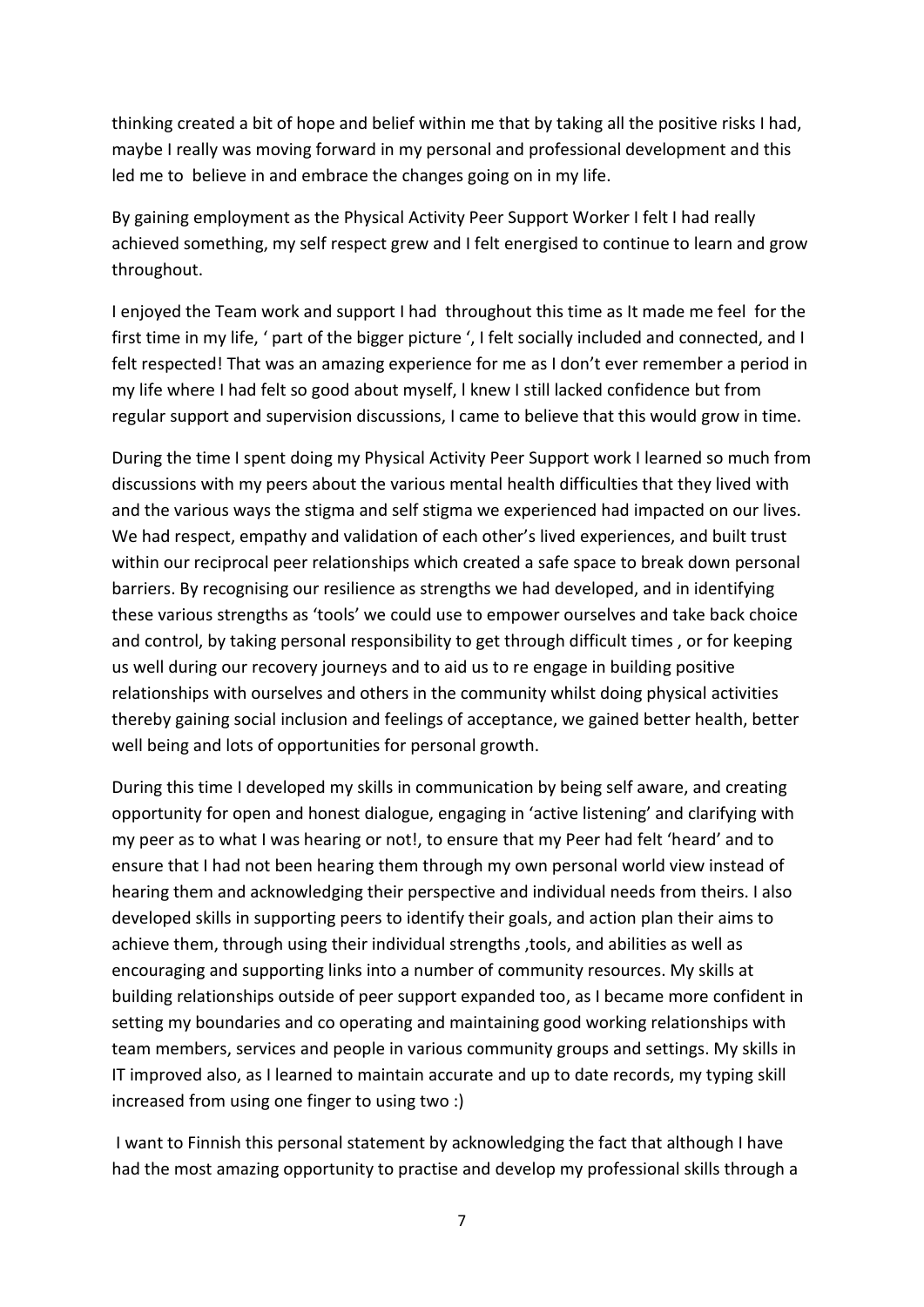thinking created a bit of hope and belief within me that by taking all the positive risks I had, maybe I really was moving forward in my personal and professional development and this led me to believe in and embrace the changes going on in my life.

By gaining employment as the Physical Activity Peer Support Worker I felt I had really achieved something, my self respect grew and I felt energised to continue to learn and grow throughout.

I enjoyed the Team work and support I had throughout this time as It made me feel for the first time in my life, ' part of the bigger picture ', I felt socially included and connected, and I felt respected! That was an amazing experience for me as I don't ever remember a period in my life where I had felt so good about myself, l knew I still lacked confidence but from regular support and supervision discussions, I came to believe that this would grow in time.

During the time I spent doing my Physical Activity Peer Support work I learned so much from discussions with my peers about the various mental health difficulties that they lived with and the various ways the stigma and self stigma we experienced had impacted on our lives. We had respect, empathy and validation of each other's lived experiences, and built trust within our reciprocal peer relationships which created a safe space to break down personal barriers. By recognising our resilience as strengths we had developed, and in identifying these various strengths as 'tools' we could use to empower ourselves and take back choice and control, by taking personal responsibility to get through difficult times , or for keeping us well during our recovery journeys and to aid us to re engage in building positive relationships with ourselves and others in the community whilst doing physical activities thereby gaining social inclusion and feelings of acceptance, we gained better health, better well being and lots of opportunities for personal growth.

During this time I developed my skills in communication by being self aware, and creating opportunity for open and honest dialogue, engaging in 'active listening' and clarifying with my peer as to what I was hearing or not!, to ensure that my Peer had felt 'heard' and to ensure that I had not been hearing them through my own personal world view instead of hearing them and acknowledging their perspective and individual needs from theirs. I also developed skills in supporting peers to identify their goals, and action plan their aims to achieve them, through using their individual strengths ,tools, and abilities as well as encouraging and supporting links into a number of community resources. My skills at building relationships outside of peer support expanded too, as I became more confident in setting my boundaries and co operating and maintaining good working relationships with team members, services and people in various community groups and settings. My skills in IT improved also, as I learned to maintain accurate and up to date records, my typing skill increased from using one finger to using two :)

I want to Finnish this personal statement by acknowledging the fact that although I have had the most amazing opportunity to practise and develop my professional skills through a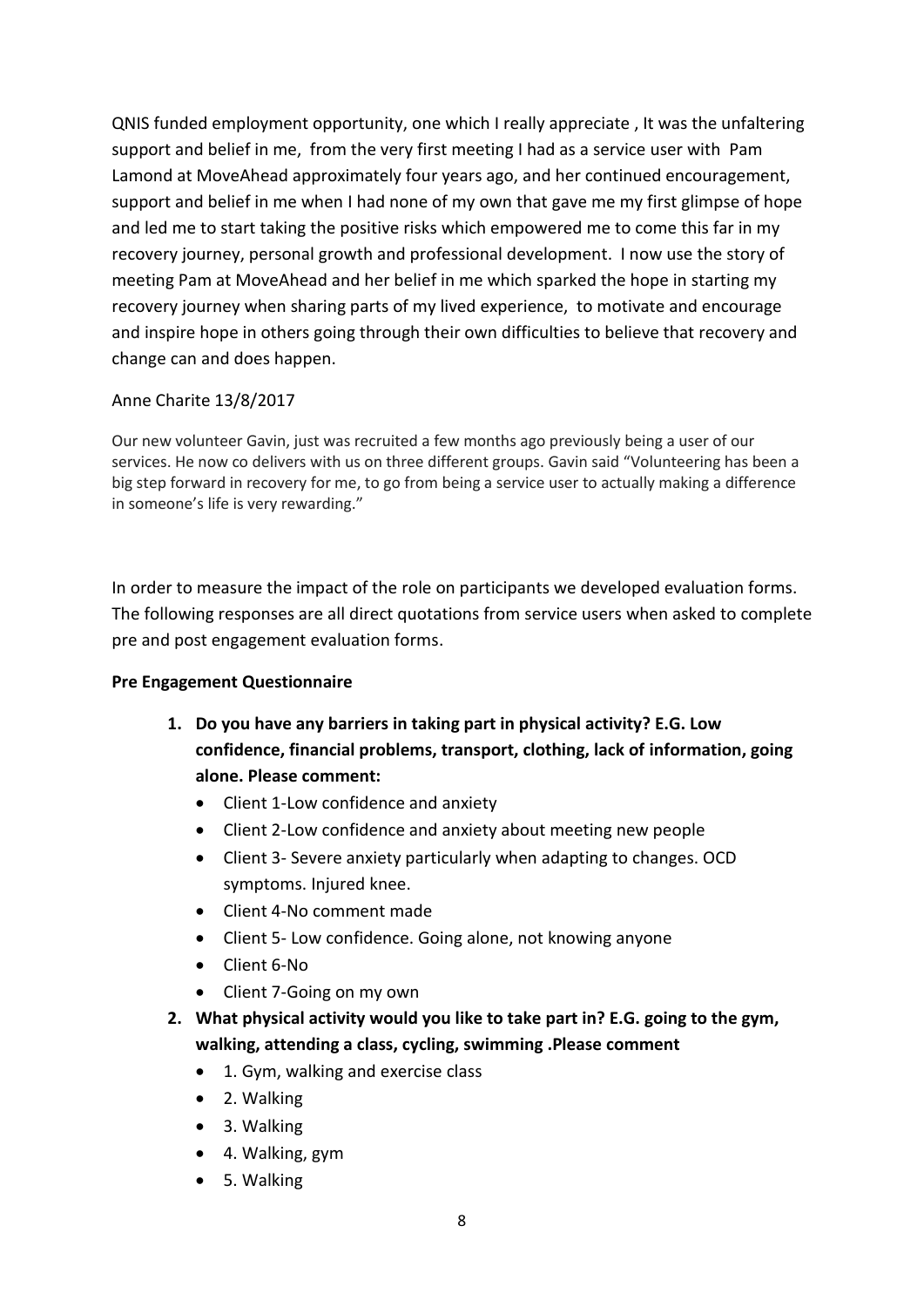QNIS funded employment opportunity, one which I really appreciate , It was the unfaltering support and belief in me, from the very first meeting I had as a service user with Pam Lamond at MoveAhead approximately four years ago, and her continued encouragement, support and belief in me when I had none of my own that gave me my first glimpse of hope and led me to start taking the positive risks which empowered me to come this far in my recovery journey, personal growth and professional development. I now use the story of meeting Pam at MoveAhead and her belief in me which sparked the hope in starting my recovery journey when sharing parts of my lived experience, to motivate and encourage and inspire hope in others going through their own difficulties to believe that recovery and change can and does happen.

## Anne Charite 13/8/2017

Our new volunteer Gavin, just was recruited a few months ago previously being a user of our services. He now co delivers with us on three different groups. Gavin said "Volunteering has been a big step forward in recovery for me, to go from being a service user to actually making a difference in someone's life is very rewarding."

In order to measure the impact of the role on participants we developed evaluation forms. The following responses are all direct quotations from service users when asked to complete pre and post engagement evaluation forms.

## **Pre Engagement Questionnaire**

- **1. Do you have any barriers in taking part in physical activity? E.G. Low confidence, financial problems, transport, clothing, lack of information, going alone. Please comment:**
	- Client 1-Low confidence and anxiety
	- Client 2-Low confidence and anxiety about meeting new people
	- Client 3- Severe anxiety particularly when adapting to changes. OCD symptoms. Injured knee.
	- Client 4-No comment made
	- Client 5- Low confidence. Going alone, not knowing anyone
	- Client 6-No
	- Client 7-Going on my own
- **2. What physical activity would you like to take part in? E.G. going to the gym, walking, attending a class, cycling, swimming .Please comment**
	- 1. Gym, walking and exercise class
	- 2. Walking
	- 3. Walking
	- 4. Walking, gym
	- 5. Walking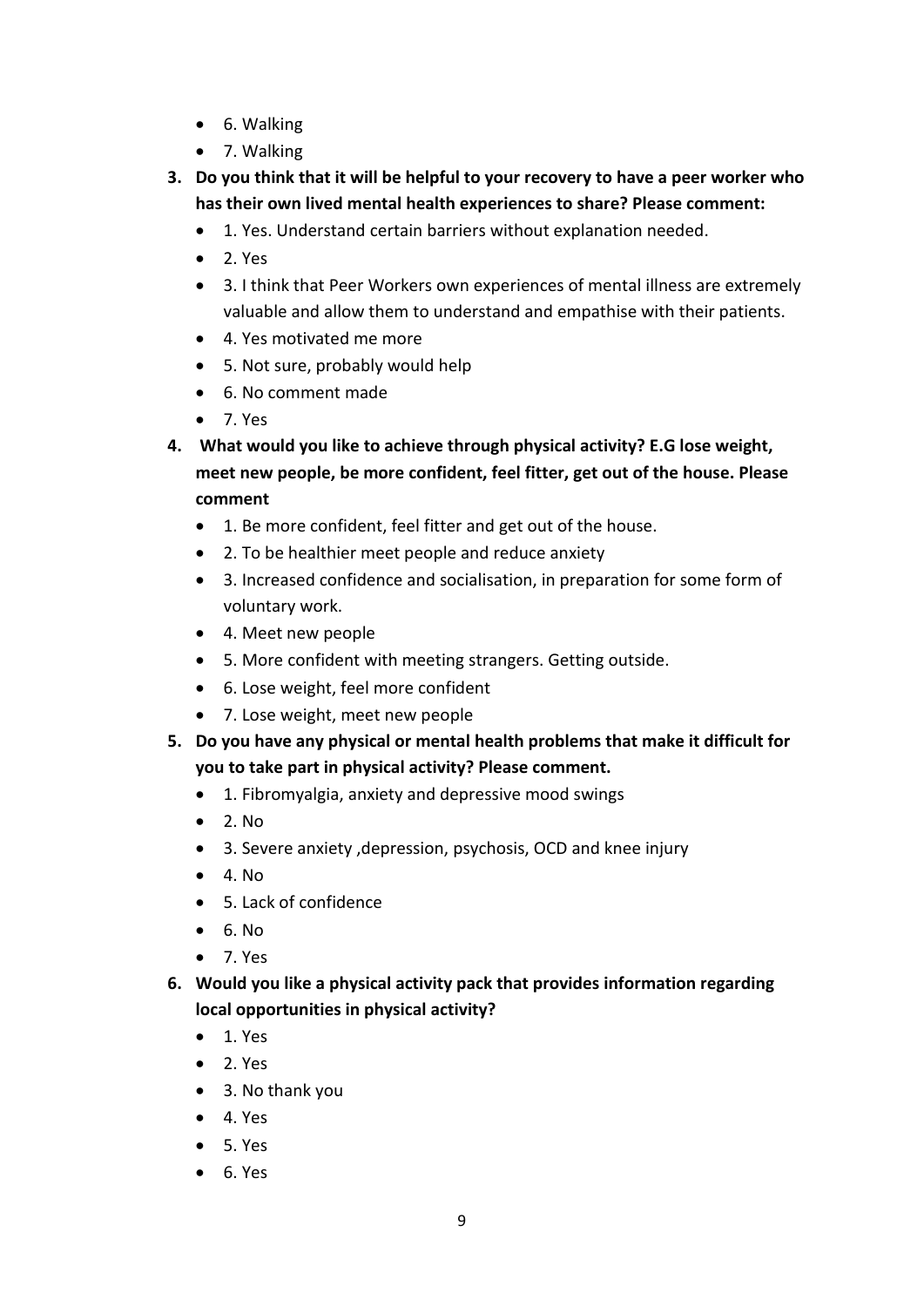- 6. Walking
- 7. Walking
- **3. Do you think that it will be helpful to your recovery to have a peer worker who has their own lived mental health experiences to share? Please comment:**
	- 1. Yes. Understand certain barriers without explanation needed.
	- $\bullet$  2. Yes
	- 3. I think that Peer Workers own experiences of mental illness are extremely valuable and allow them to understand and empathise with their patients.
	- 4. Yes motivated me more
	- 5. Not sure, probably would help
	- 6. No comment made
	- 7. Yes
- **4. What would you like to achieve through physical activity? E.G lose weight, meet new people, be more confident, feel fitter, get out of the house. Please comment**
	- 1. Be more confident, feel fitter and get out of the house.
	- 2. To be healthier meet people and reduce anxiety
	- 3. Increased confidence and socialisation, in preparation for some form of voluntary work.
	- 4. Meet new people
	- 5. More confident with meeting strangers. Getting outside.
	- 6. Lose weight, feel more confident
	- 7. Lose weight, meet new people
- **5. Do you have any physical or mental health problems that make it difficult for you to take part in physical activity? Please comment.**
	- 1. Fibromyalgia, anxiety and depressive mood swings
	- $\bullet$  2. No
	- 3. Severe anxiety ,depression, psychosis, OCD and knee injury
	- $\bullet$  4. No
	- 5. Lack of confidence
	- $6. No$
	- 7. Yes
- **6. Would you like a physical activity pack that provides information regarding local opportunities in physical activity?**
	- $\bullet$  1. Yes
	- $\bullet$  2. Yes
	- 3. No thank you
	- 4. Yes
	- 5. Yes
	- $6. Yes$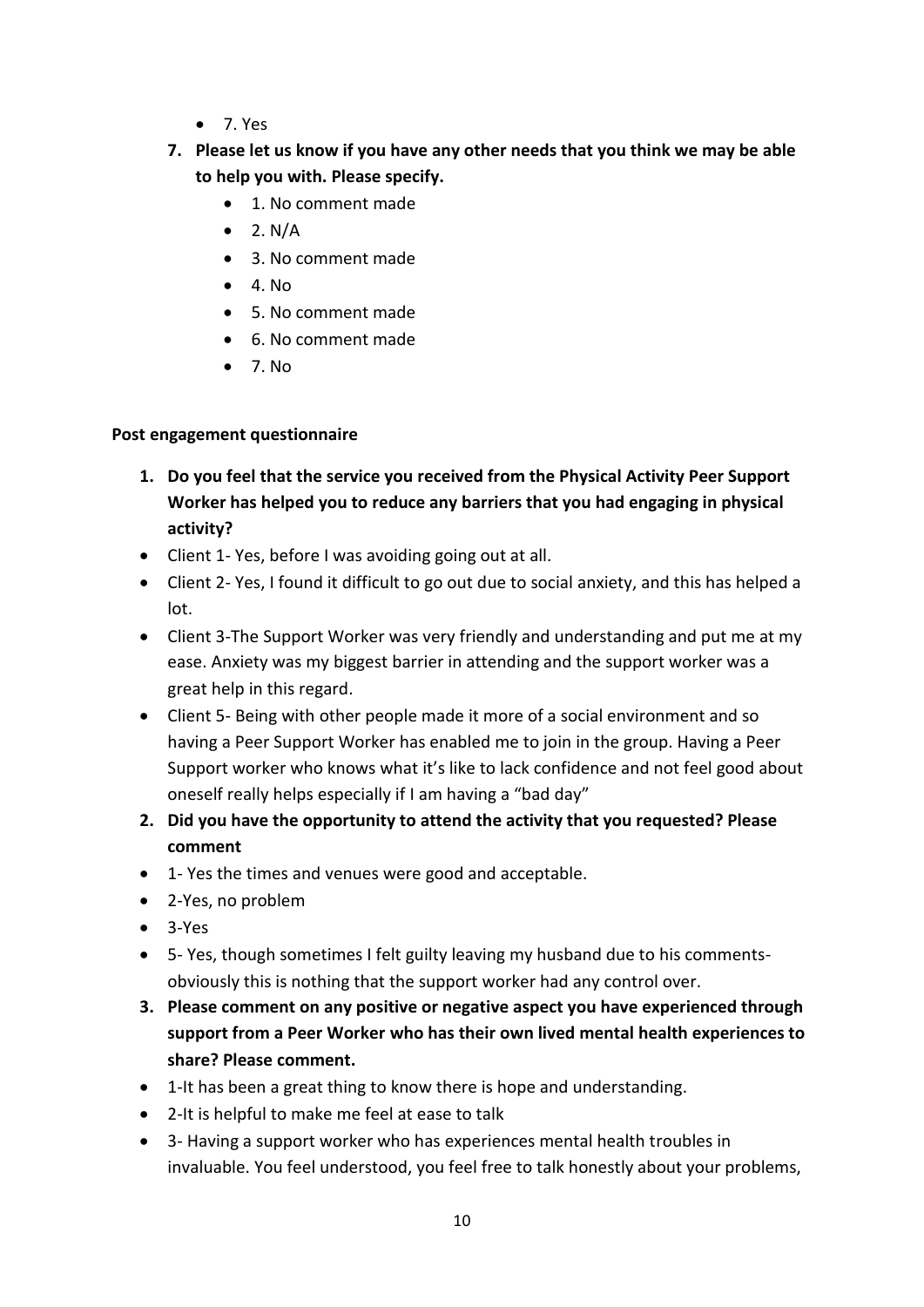- 7. Yes
- **7. Please let us know if you have any other needs that you think we may be able to help you with. Please specify.** 
	- 1. No comment made
	- $\bullet$  2. N/A
	- 3. No comment made
	- $4$ . No.
	- 5. No comment made
	- 6. No comment made
	- $\bullet$  7. No.

### **Post engagement questionnaire**

- **1. Do you feel that the service you received from the Physical Activity Peer Support Worker has helped you to reduce any barriers that you had engaging in physical activity?**
- Client 1- Yes, before I was avoiding going out at all.
- Client 2- Yes, I found it difficult to go out due to social anxiety, and this has helped a lot.
- Client 3-The Support Worker was very friendly and understanding and put me at my ease. Anxiety was my biggest barrier in attending and the support worker was a great help in this regard.
- Client 5- Being with other people made it more of a social environment and so having a Peer Support Worker has enabled me to join in the group. Having a Peer Support worker who knows what it's like to lack confidence and not feel good about oneself really helps especially if I am having a "bad day"
- **2. Did you have the opportunity to attend the activity that you requested? Please comment**
- 1- Yes the times and venues were good and acceptable.
- 2-Yes, no problem
- $-3-Yes$
- 5- Yes, though sometimes I felt guilty leaving my husband due to his commentsobviously this is nothing that the support worker had any control over.
- **3. Please comment on any positive or negative aspect you have experienced through support from a Peer Worker who has their own lived mental health experiences to share? Please comment.**
- 1-It has been a great thing to know there is hope and understanding.
- 2-It is helpful to make me feel at ease to talk
- 3- Having a support worker who has experiences mental health troubles in invaluable. You feel understood, you feel free to talk honestly about your problems,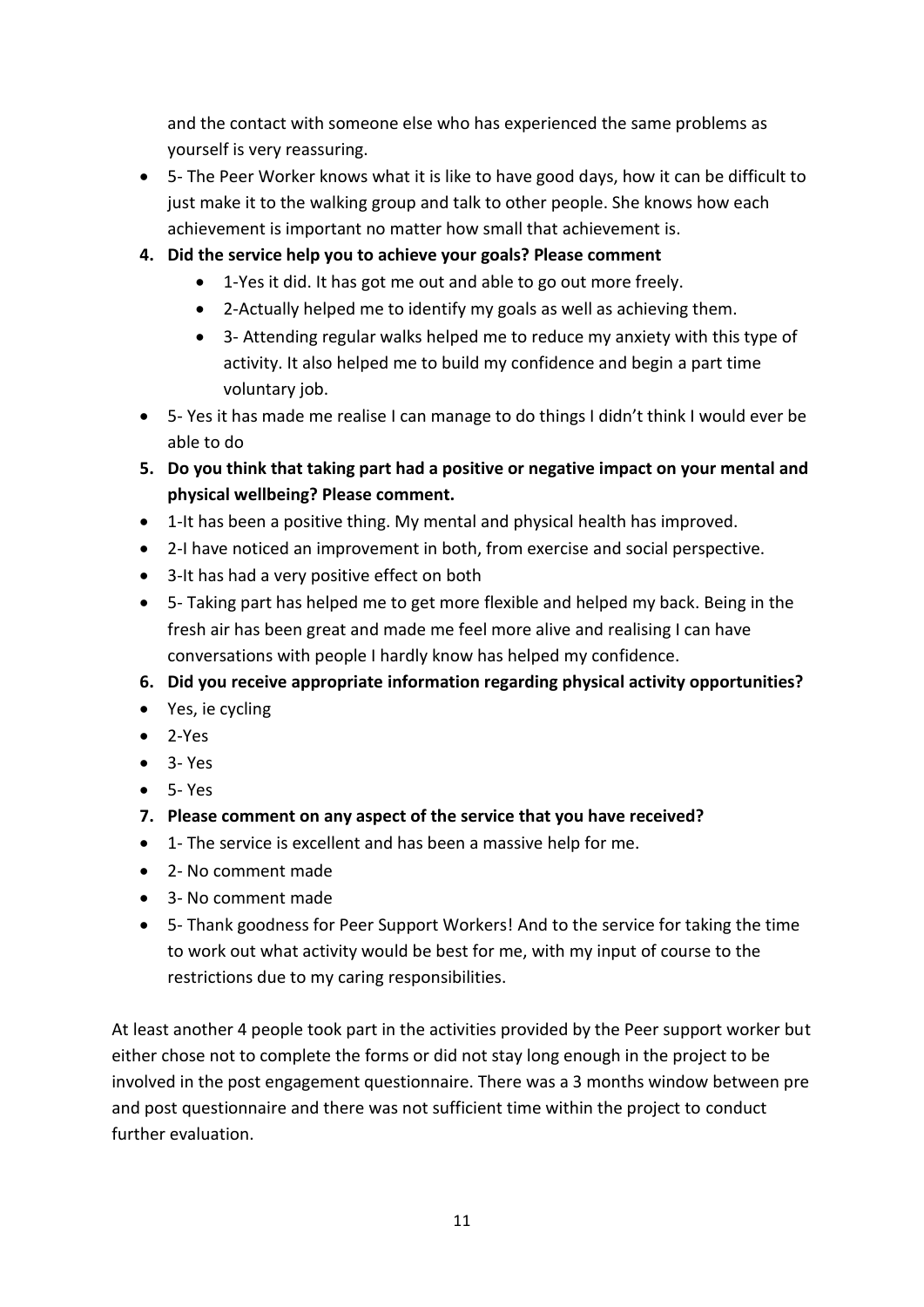and the contact with someone else who has experienced the same problems as yourself is very reassuring.

- 5- The Peer Worker knows what it is like to have good days, how it can be difficult to just make it to the walking group and talk to other people. She knows how each achievement is important no matter how small that achievement is.
- **4. Did the service help you to achieve your goals? Please comment**
	- 1-Yes it did. It has got me out and able to go out more freely.
	- 2-Actually helped me to identify my goals as well as achieving them.
	- 3- Attending regular walks helped me to reduce my anxiety with this type of activity. It also helped me to build my confidence and begin a part time voluntary job.
- 5- Yes it has made me realise I can manage to do things I didn't think I would ever be able to do
- **5. Do you think that taking part had a positive or negative impact on your mental and physical wellbeing? Please comment.**
- 1-It has been a positive thing. My mental and physical health has improved.
- 2-I have noticed an improvement in both, from exercise and social perspective.
- 3-It has had a very positive effect on both
- 5- Taking part has helped me to get more flexible and helped my back. Being in the fresh air has been great and made me feel more alive and realising I can have conversations with people I hardly know has helped my confidence.
- **6. Did you receive appropriate information regarding physical activity opportunities?**
- Yes, ie cycling
- $-2-Yes$
- $\bullet$  3- Yes
- 5- Yes
- **7. Please comment on any aspect of the service that you have received?**
- 1- The service is excellent and has been a massive help for me.
- 2- No comment made
- 3- No comment made
- 5- Thank goodness for Peer Support Workers! And to the service for taking the time to work out what activity would be best for me, with my input of course to the restrictions due to my caring responsibilities.

At least another 4 people took part in the activities provided by the Peer support worker but either chose not to complete the forms or did not stay long enough in the project to be involved in the post engagement questionnaire. There was a 3 months window between pre and post questionnaire and there was not sufficient time within the project to conduct further evaluation.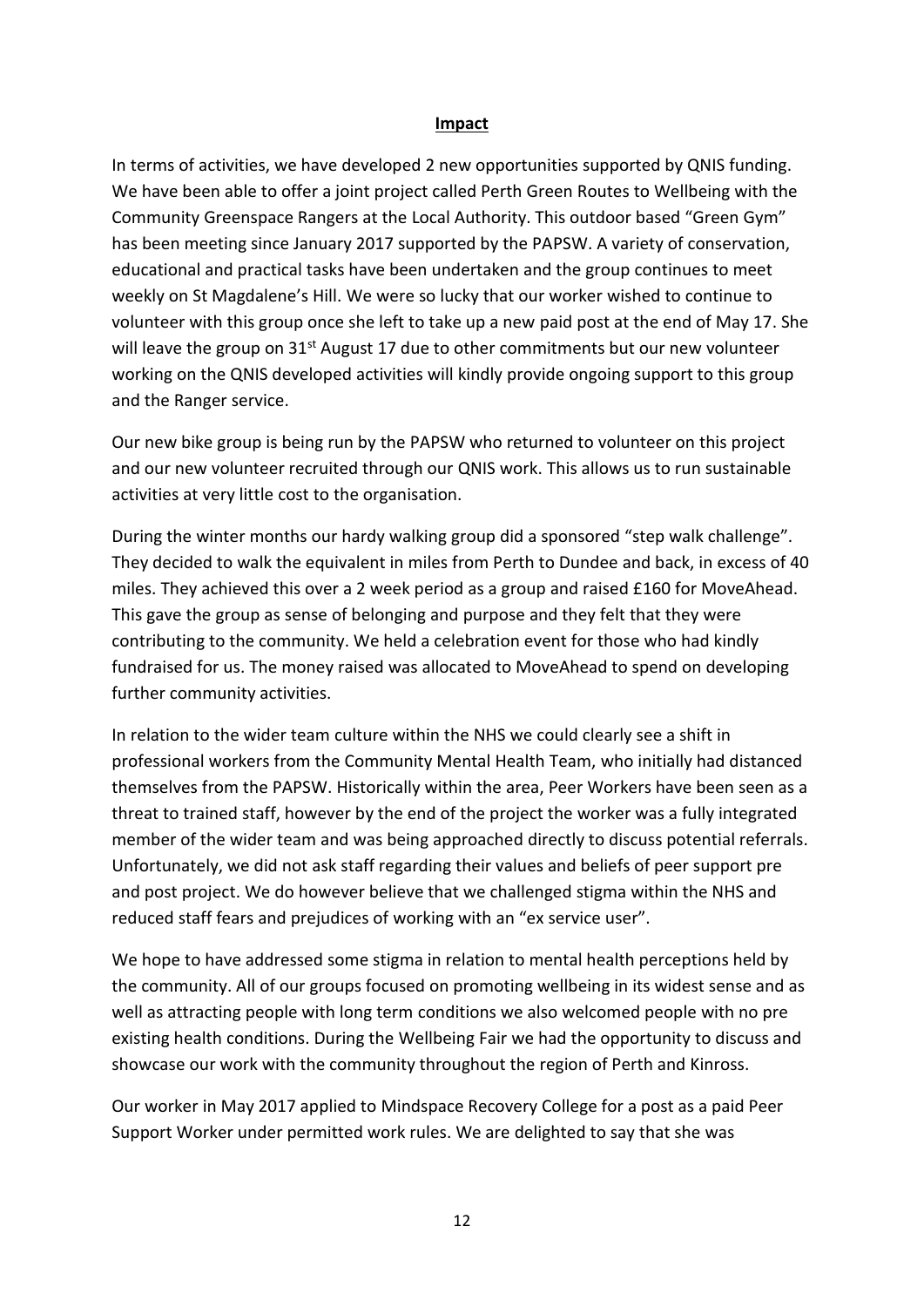#### **Impact**

In terms of activities, we have developed 2 new opportunities supported by QNIS funding. We have been able to offer a joint project called Perth Green Routes to Wellbeing with the Community Greenspace Rangers at the Local Authority. This outdoor based "Green Gym" has been meeting since January 2017 supported by the PAPSW. A variety of conservation, educational and practical tasks have been undertaken and the group continues to meet weekly on St Magdalene's Hill. We were so lucky that our worker wished to continue to volunteer with this group once she left to take up a new paid post at the end of May 17. She will leave the group on 31<sup>st</sup> August 17 due to other commitments but our new volunteer working on the QNIS developed activities will kindly provide ongoing support to this group and the Ranger service.

Our new bike group is being run by the PAPSW who returned to volunteer on this project and our new volunteer recruited through our QNIS work. This allows us to run sustainable activities at very little cost to the organisation.

During the winter months our hardy walking group did a sponsored "step walk challenge". They decided to walk the equivalent in miles from Perth to Dundee and back, in excess of 40 miles. They achieved this over a 2 week period as a group and raised £160 for MoveAhead. This gave the group as sense of belonging and purpose and they felt that they were contributing to the community. We held a celebration event for those who had kindly fundraised for us. The money raised was allocated to MoveAhead to spend on developing further community activities.

In relation to the wider team culture within the NHS we could clearly see a shift in professional workers from the Community Mental Health Team, who initially had distanced themselves from the PAPSW. Historically within the area, Peer Workers have been seen as a threat to trained staff, however by the end of the project the worker was a fully integrated member of the wider team and was being approached directly to discuss potential referrals. Unfortunately, we did not ask staff regarding their values and beliefs of peer support pre and post project. We do however believe that we challenged stigma within the NHS and reduced staff fears and prejudices of working with an "ex service user".

We hope to have addressed some stigma in relation to mental health perceptions held by the community. All of our groups focused on promoting wellbeing in its widest sense and as well as attracting people with long term conditions we also welcomed people with no pre existing health conditions. During the Wellbeing Fair we had the opportunity to discuss and showcase our work with the community throughout the region of Perth and Kinross.

Our worker in May 2017 applied to Mindspace Recovery College for a post as a paid Peer Support Worker under permitted work rules. We are delighted to say that she was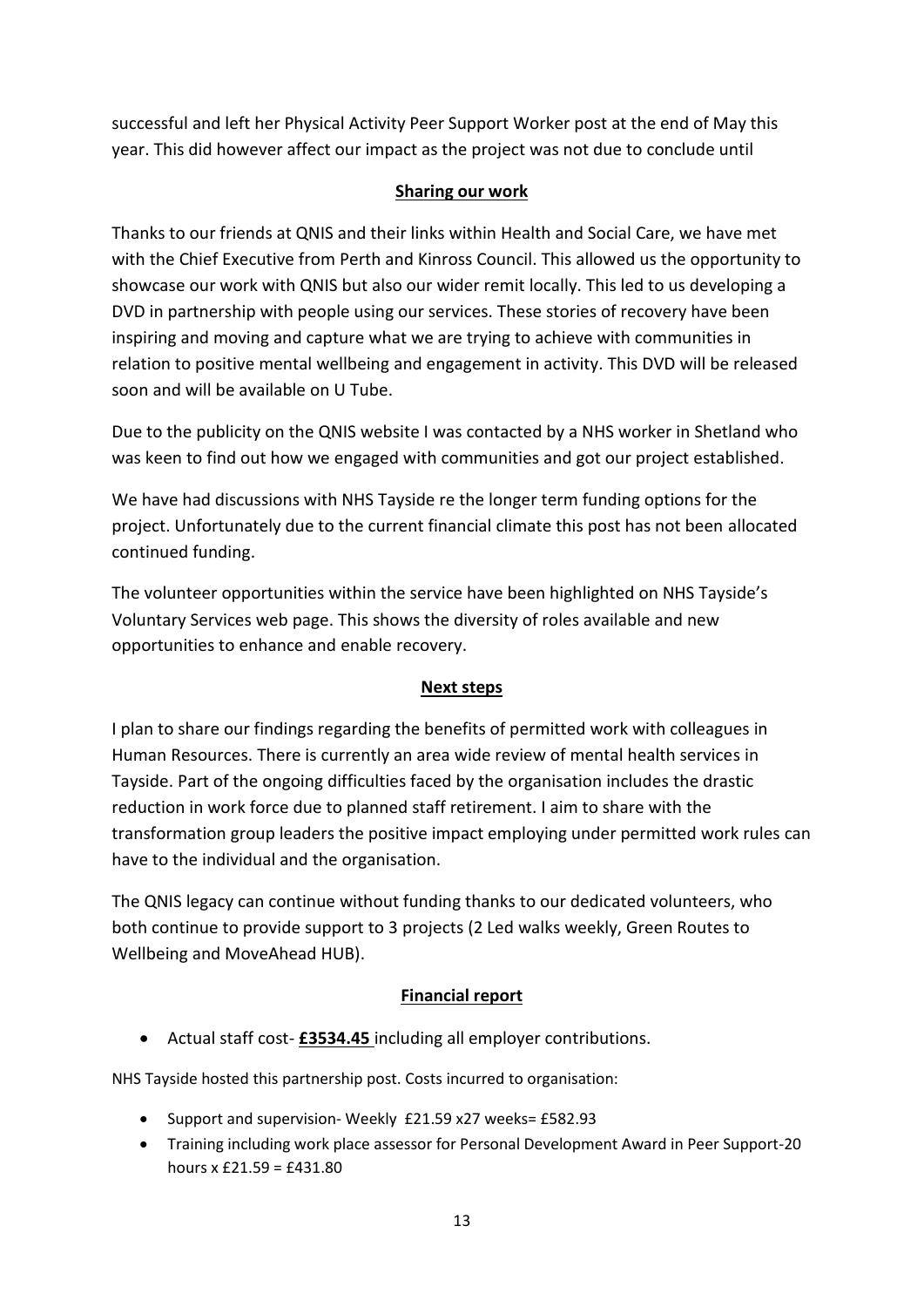successful and left her Physical Activity Peer Support Worker post at the end of May this year. This did however affect our impact as the project was not due to conclude until

## **Sharing our work**

Thanks to our friends at QNIS and their links within Health and Social Care, we have met with the Chief Executive from Perth and Kinross Council. This allowed us the opportunity to showcase our work with QNIS but also our wider remit locally. This led to us developing a DVD in partnership with people using our services. These stories of recovery have been inspiring and moving and capture what we are trying to achieve with communities in relation to positive mental wellbeing and engagement in activity. This DVD will be released soon and will be available on U Tube.

Due to the publicity on the QNIS website I was contacted by a NHS worker in Shetland who was keen to find out how we engaged with communities and got our project established.

We have had discussions with NHS Tayside re the longer term funding options for the project. Unfortunately due to the current financial climate this post has not been allocated continued funding.

The volunteer opportunities within the service have been highlighted on NHS Tayside's Voluntary Services web page. This shows the diversity of roles available and new opportunities to enhance and enable recovery.

## **Next steps**

I plan to share our findings regarding the benefits of permitted work with colleagues in Human Resources. There is currently an area wide review of mental health services in Tayside. Part of the ongoing difficulties faced by the organisation includes the drastic reduction in work force due to planned staff retirement. I aim to share with the transformation group leaders the positive impact employing under permitted work rules can have to the individual and the organisation.

The QNIS legacy can continue without funding thanks to our dedicated volunteers, who both continue to provide support to 3 projects (2 Led walks weekly, Green Routes to Wellbeing and MoveAhead HUB).

## **Financial report**

Actual staff cost- **£3534.45** including all employer contributions.

NHS Tayside hosted this partnership post. Costs incurred to organisation:

- Support and supervision- Weekly £21.59 x27 weeks= £582.93
- Training including work place assessor for Personal Development Award in Peer Support-20 hours  $x f 21.59 = f 431.80$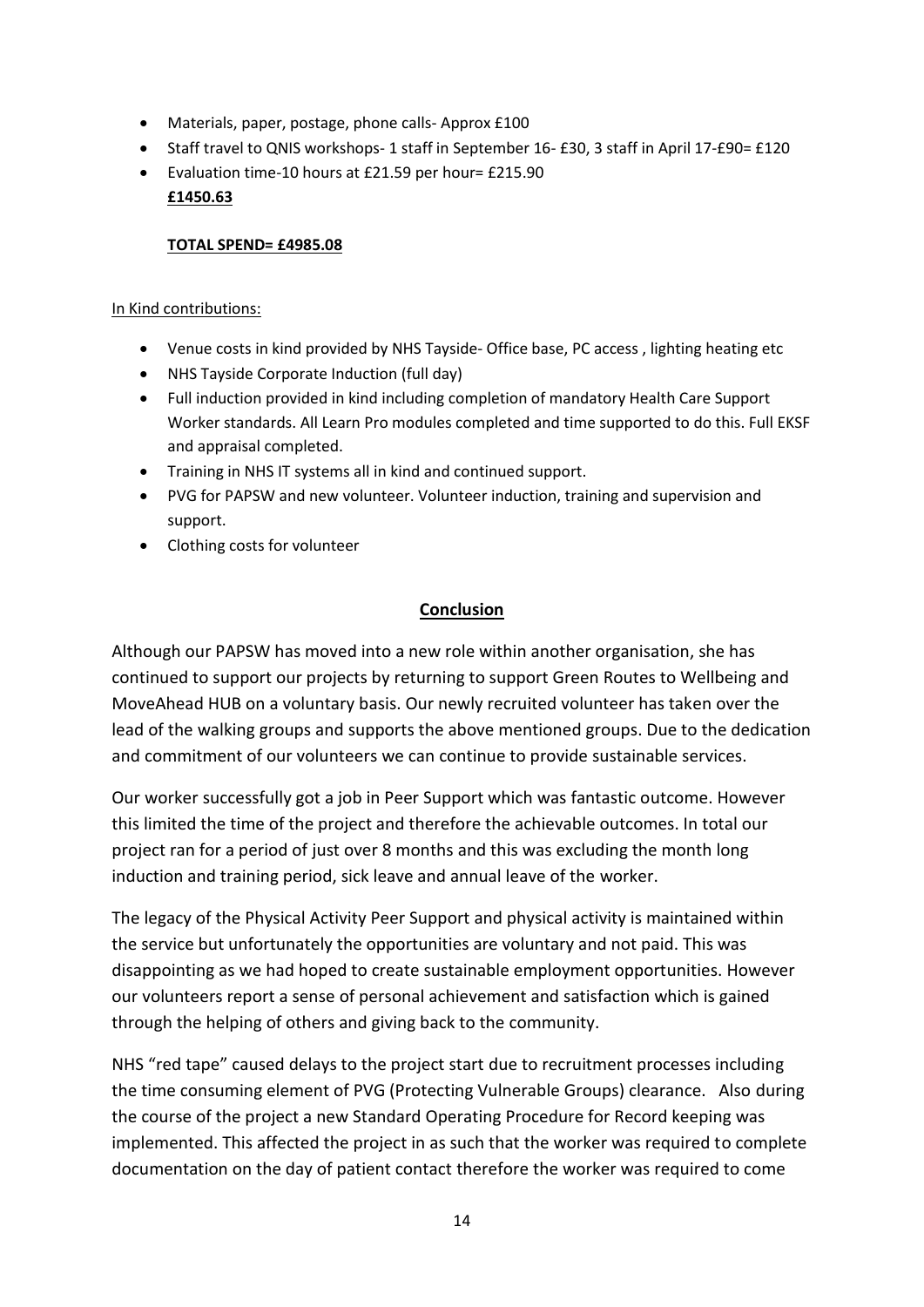- Materials, paper, postage, phone calls- Approx £100
- Staff travel to QNIS workshops- 1 staff in September 16- £30, 3 staff in April 17-£90= £120
- Evaluation time-10 hours at £21.59 per hour= £215.90 **£1450.63**

### **TOTAL SPEND= £4985.08**

#### In Kind contributions:

- Venue costs in kind provided by NHS Tayside- Office base, PC access , lighting heating etc
- NHS Tayside Corporate Induction (full day)
- Full induction provided in kind including completion of mandatory Health Care Support Worker standards. All Learn Pro modules completed and time supported to do this. Full EKSF and appraisal completed.
- Training in NHS IT systems all in kind and continued support.
- PVG for PAPSW and new volunteer. Volunteer induction, training and supervision and support.
- Clothing costs for volunteer

## **Conclusion**

Although our PAPSW has moved into a new role within another organisation, she has continued to support our projects by returning to support Green Routes to Wellbeing and MoveAhead HUB on a voluntary basis. Our newly recruited volunteer has taken over the lead of the walking groups and supports the above mentioned groups. Due to the dedication and commitment of our volunteers we can continue to provide sustainable services.

Our worker successfully got a job in Peer Support which was fantastic outcome. However this limited the time of the project and therefore the achievable outcomes. In total our project ran for a period of just over 8 months and this was excluding the month long induction and training period, sick leave and annual leave of the worker.

The legacy of the Physical Activity Peer Support and physical activity is maintained within the service but unfortunately the opportunities are voluntary and not paid. This was disappointing as we had hoped to create sustainable employment opportunities. However our volunteers report a sense of personal achievement and satisfaction which is gained through the helping of others and giving back to the community.

NHS "red tape" caused delays to the project start due to recruitment processes including the time consuming element of PVG (Protecting Vulnerable Groups) clearance. Also during the course of the project a new Standard Operating Procedure for Record keeping was implemented. This affected the project in as such that the worker was required to complete documentation on the day of patient contact therefore the worker was required to come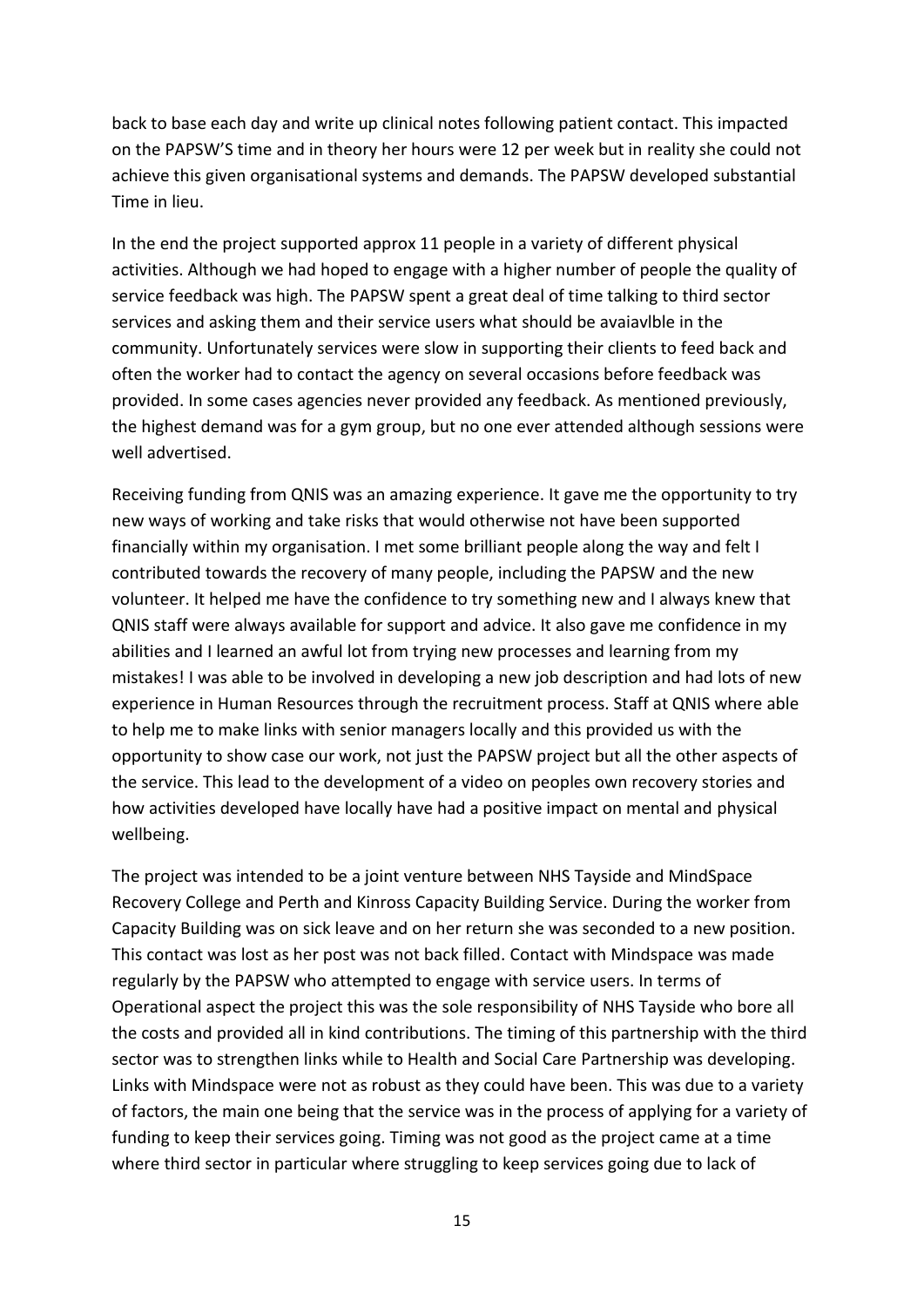back to base each day and write up clinical notes following patient contact. This impacted on the PAPSW'S time and in theory her hours were 12 per week but in reality she could not achieve this given organisational systems and demands. The PAPSW developed substantial Time in lieu.

In the end the project supported approx 11 people in a variety of different physical activities. Although we had hoped to engage with a higher number of people the quality of service feedback was high. The PAPSW spent a great deal of time talking to third sector services and asking them and their service users what should be avaiavlble in the community. Unfortunately services were slow in supporting their clients to feed back and often the worker had to contact the agency on several occasions before feedback was provided. In some cases agencies never provided any feedback. As mentioned previously, the highest demand was for a gym group, but no one ever attended although sessions were well advertised.

Receiving funding from QNIS was an amazing experience. It gave me the opportunity to try new ways of working and take risks that would otherwise not have been supported financially within my organisation. I met some brilliant people along the way and felt I contributed towards the recovery of many people, including the PAPSW and the new volunteer. It helped me have the confidence to try something new and I always knew that QNIS staff were always available for support and advice. It also gave me confidence in my abilities and I learned an awful lot from trying new processes and learning from my mistakes! I was able to be involved in developing a new job description and had lots of new experience in Human Resources through the recruitment process. Staff at QNIS where able to help me to make links with senior managers locally and this provided us with the opportunity to show case our work, not just the PAPSW project but all the other aspects of the service. This lead to the development of a video on peoples own recovery stories and how activities developed have locally have had a positive impact on mental and physical wellbeing.

The project was intended to be a joint venture between NHS Tayside and MindSpace Recovery College and Perth and Kinross Capacity Building Service. During the worker from Capacity Building was on sick leave and on her return she was seconded to a new position. This contact was lost as her post was not back filled. Contact with Mindspace was made regularly by the PAPSW who attempted to engage with service users. In terms of Operational aspect the project this was the sole responsibility of NHS Tayside who bore all the costs and provided all in kind contributions. The timing of this partnership with the third sector was to strengthen links while to Health and Social Care Partnership was developing. Links with Mindspace were not as robust as they could have been. This was due to a variety of factors, the main one being that the service was in the process of applying for a variety of funding to keep their services going. Timing was not good as the project came at a time where third sector in particular where struggling to keep services going due to lack of